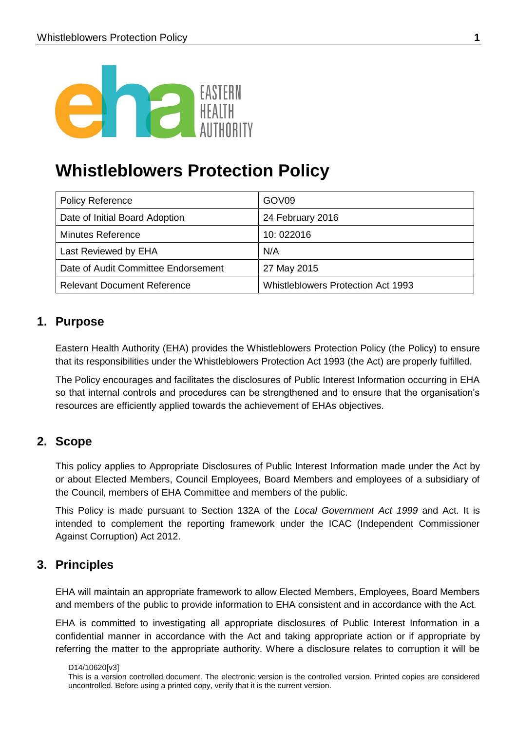

# **Whistleblowers Protection Policy**

| <b>Policy Reference</b>             | GOV <sub>09</sub>                  |
|-------------------------------------|------------------------------------|
| Date of Initial Board Adoption      | 24 February 2016                   |
| <b>Minutes Reference</b>            | 10:022016                          |
| Last Reviewed by EHA                | N/A                                |
| Date of Audit Committee Endorsement | 27 May 2015                        |
| <b>Relevant Document Reference</b>  | Whistleblowers Protection Act 1993 |

# **1. Purpose**

Eastern Health Authority (EHA) provides the Whistleblowers Protection Policy (the Policy) to ensure that its responsibilities under the Whistleblowers Protection Act 1993 (the Act) are properly fulfilled.

The Policy encourages and facilitates the disclosures of Public Interest Information occurring in EHA so that internal controls and procedures can be strengthened and to ensure that the organisation's resources are efficiently applied towards the achievement of EHAs objectives.

# **2. Scope**

This policy applies to Appropriate Disclosures of Public Interest Information made under the Act by or about Elected Members, Council Employees, Board Members and employees of a subsidiary of the Council, members of EHA Committee and members of the public.

This Policy is made pursuant to Section 132A of the *Local Government Act 1999* and Act. It is intended to complement the reporting framework under the ICAC (Independent Commissioner Against Corruption) Act 2012.

# **3. Principles**

EHA will maintain an appropriate framework to allow Elected Members, Employees, Board Members and members of the public to provide information to EHA consistent and in accordance with the Act.

EHA is committed to investigating all appropriate disclosures of Public Interest Information in a confidential manner in accordance with the Act and taking appropriate action or if appropriate by referring the matter to the appropriate authority. Where a disclosure relates to corruption it will be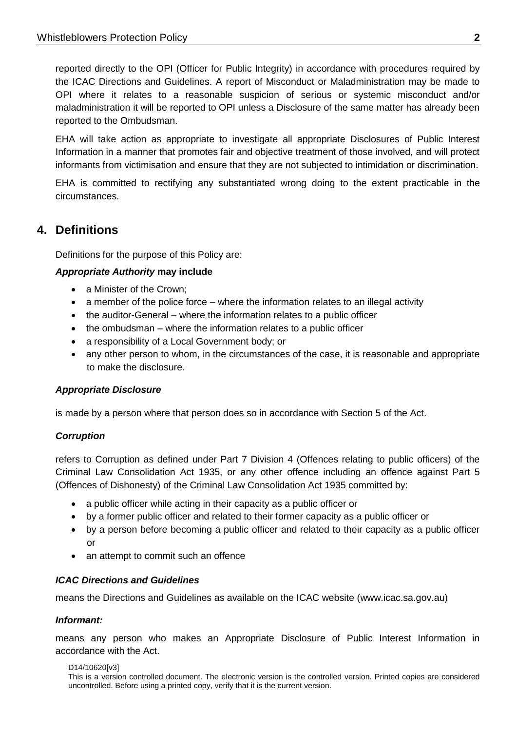reported directly to the OPI (Officer for Public Integrity) in accordance with procedures required by the ICAC Directions and Guidelines. A report of Misconduct or Maladministration may be made to OPI where it relates to a reasonable suspicion of serious or systemic misconduct and/or maladministration it will be reported to OPI unless a Disclosure of the same matter has already been reported to the Ombudsman.

EHA will take action as appropriate to investigate all appropriate Disclosures of Public Interest Information in a manner that promotes fair and objective treatment of those involved, and will protect informants from victimisation and ensure that they are not subjected to intimidation or discrimination.

EHA is committed to rectifying any substantiated wrong doing to the extent practicable in the circumstances.

# **4. Definitions**

Definitions for the purpose of this Policy are:

## *Appropriate Authority* **may include**

- a Minister of the Crown;
- a member of the police force where the information relates to an illegal activity
- the auditor-General where the information relates to a public officer
- the ombudsman where the information relates to a public officer
- a responsibility of a Local Government body; or
- any other person to whom, in the circumstances of the case, it is reasonable and appropriate to make the disclosure.

## *Appropriate Disclosure*

is made by a person where that person does so in accordance with Section 5 of the Act.

## *Corruption*

refers to Corruption as defined under Part 7 Division 4 (Offences relating to public officers) of the Criminal Law Consolidation Act 1935, or any other offence including an offence against Part 5 (Offences of Dishonesty) of the Criminal Law Consolidation Act 1935 committed by:

- a public officer while acting in their capacity as a public officer or
- by a former public officer and related to their former capacity as a public officer or
- by a person before becoming a public officer and related to their capacity as a public officer or
- an attempt to commit such an offence

## *ICAC Directions and Guidelines*

means the Directions and Guidelines as available on the ICAC website [\(www.icac.sa.gov.au\)](http://www.icac.sa.gov.au/)

#### *Informant:*

means any person who makes an Appropriate Disclosure of Public Interest Information in accordance with the Act.

#### D14/10620[v3] This is a version controlled document. The electronic version is the controlled version. Printed copies are considered uncontrolled. Before using a printed copy, verify that it is the current version.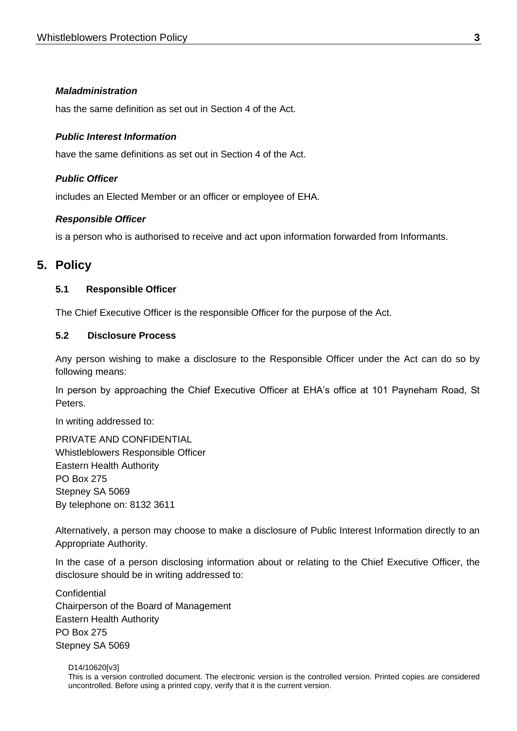#### *Maladministration*

has the same definition as set out in Section 4 of the Act.

#### *Public Interest Information*

have the same definitions as set out in Section 4 of the Act.

#### *Public Officer*

includes an Elected Member or an officer or employee of EHA.

#### *Responsible Officer*

is a person who is authorised to receive and act upon information forwarded from Informants.

# **5. Policy**

#### **5.1 Responsible Officer**

The Chief Executive Officer is the responsible Officer for the purpose of the Act.

#### **5.2 Disclosure Process**

Any person wishing to make a disclosure to the Responsible Officer under the Act can do so by following means:

In person by approaching the Chief Executive Officer at EHA's office at 101 Payneham Road, St Peters.

In writing addressed to:

PRIVATE AND CONFIDENTIAL Whistleblowers Responsible Officer Eastern Health Authority PO Box 275 Stepney SA 5069 By telephone on: 8132 3611

Alternatively, a person may choose to make a disclosure of Public Interest Information directly to an Appropriate Authority.

In the case of a person disclosing information about or relating to the Chief Executive Officer, the disclosure should be in writing addressed to:

**Confidential** Chairperson of the Board of Management Eastern Health Authority PO Box 275 Stepney SA 5069

D14/10620[v3] This is a version controlled document. The electronic version is the controlled version. Printed copies are considered uncontrolled. Before using a printed copy, verify that it is the current version.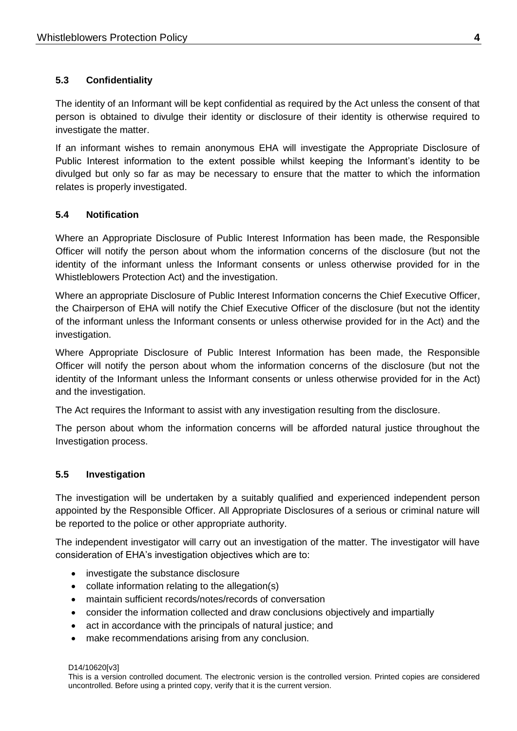# **5.3 Confidentiality**

The identity of an Informant will be kept confidential as required by the Act unless the consent of that person is obtained to divulge their identity or disclosure of their identity is otherwise required to investigate the matter.

If an informant wishes to remain anonymous EHA will investigate the Appropriate Disclosure of Public Interest information to the extent possible whilst keeping the Informant's identity to be divulged but only so far as may be necessary to ensure that the matter to which the information relates is properly investigated.

## **5.4 Notification**

Where an Appropriate Disclosure of Public Interest Information has been made, the Responsible Officer will notify the person about whom the information concerns of the disclosure (but not the identity of the informant unless the Informant consents or unless otherwise provided for in the Whistleblowers Protection Act) and the investigation.

Where an appropriate Disclosure of Public Interest Information concerns the Chief Executive Officer, the Chairperson of EHA will notify the Chief Executive Officer of the disclosure (but not the identity of the informant unless the Informant consents or unless otherwise provided for in the Act) and the investigation.

Where Appropriate Disclosure of Public Interest Information has been made, the Responsible Officer will notify the person about whom the information concerns of the disclosure (but not the identity of the Informant unless the Informant consents or unless otherwise provided for in the Act) and the investigation.

The Act requires the Informant to assist with any investigation resulting from the disclosure.

The person about whom the information concerns will be afforded natural justice throughout the Investigation process.

## **5.5 Investigation**

The investigation will be undertaken by a suitably qualified and experienced independent person appointed by the Responsible Officer. All Appropriate Disclosures of a serious or criminal nature will be reported to the police or other appropriate authority.

The independent investigator will carry out an investigation of the matter. The investigator will have consideration of EHA's investigation objectives which are to:

- investigate the substance disclosure
- collate information relating to the allegation(s)
- maintain sufficient records/notes/records of conversation
- consider the information collected and draw conclusions objectively and impartially
- act in accordance with the principals of natural justice; and
- make recommendations arising from any conclusion.

D14/10620[v3]